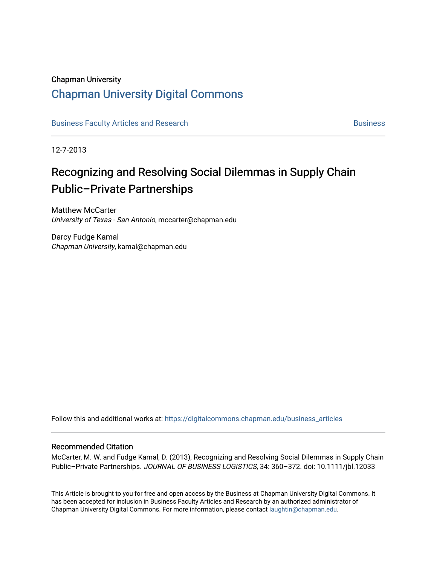# Chapman University

# [Chapman University Digital Commons](https://digitalcommons.chapman.edu/)

[Business Faculty Articles and Research](https://digitalcommons.chapman.edu/business_articles) [Business](https://digitalcommons.chapman.edu/business) **Business** Business

12-7-2013

# Recognizing and Resolving Social Dilemmas in Supply Chain Public–Private Partnerships

Matthew McCarter University of Texas - San Antonio, mccarter@chapman.edu

Darcy Fudge Kamal Chapman University, kamal@chapman.edu

Follow this and additional works at: [https://digitalcommons.chapman.edu/business\\_articles](https://digitalcommons.chapman.edu/business_articles?utm_source=digitalcommons.chapman.edu%2Fbusiness_articles%2F34&utm_medium=PDF&utm_campaign=PDFCoverPages) 

#### Recommended Citation

McCarter, M. W. and Fudge Kamal, D. (2013), Recognizing and Resolving Social Dilemmas in Supply Chain Public–Private Partnerships. JOURNAL OF BUSINESS LOGISTICS, 34: 360–372. doi: 10.1111/jbl.12033

This Article is brought to you for free and open access by the Business at Chapman University Digital Commons. It has been accepted for inclusion in Business Faculty Articles and Research by an authorized administrator of Chapman University Digital Commons. For more information, please contact [laughtin@chapman.edu](mailto:laughtin@chapman.edu).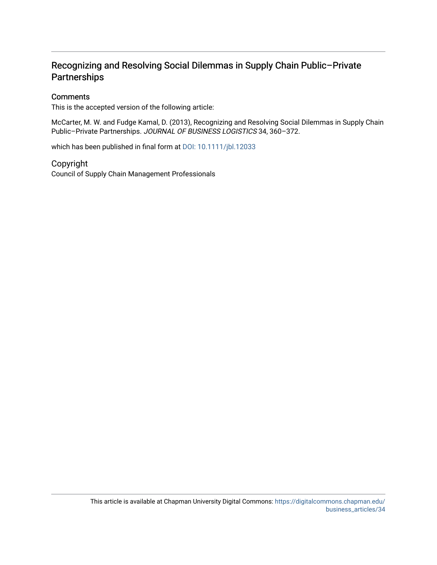# Recognizing and Resolving Social Dilemmas in Supply Chain Public–Private **Partnerships**

# **Comments**

This is the accepted version of the following article:

McCarter, M. W. and Fudge Kamal, D. (2013), Recognizing and Resolving Social Dilemmas in Supply Chain Public–Private Partnerships. JOURNAL OF BUSINESS LOGISTICS 34, 360–372.

which has been published in final form at [DOI: 10.1111/jbl.12033](http://dx.doi.org/10.1111/jbl.12033) 

### Copyright

Council of Supply Chain Management Professionals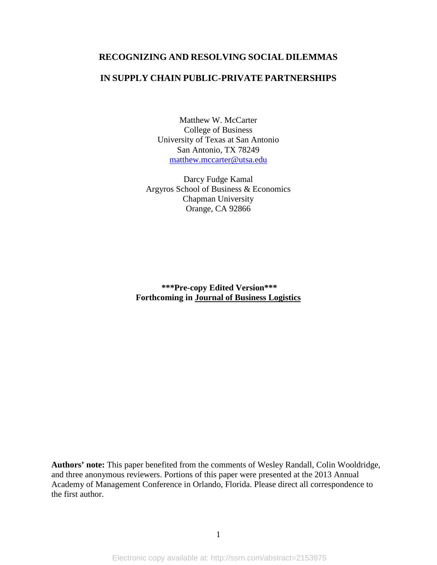# **RECOGNIZING AND RESOLVING SOCIAL DILEMMAS**

# **IN SUPPLY CHAIN PUBLIC-PRIVATE PARTNERSHIPS**

Matthew W. McCarter College of Business University of Texas at San Antonio San Antonio, TX 78249 [matthew.mccarter@utsa.edu](mailto:matthew.mccarter@utsa.edu)

Darcy Fudge Kamal Argyros School of Business & Economics Chapman University Orange, CA 92866

**\*\*\*Pre-copy Edited Version\*\*\* Forthcoming in Journal of Business Logistics**

**Authors' note:** This paper benefited from the comments of Wesley Randall, Colin Wooldridge, and three anonymous reviewers. Portions of this paper were presented at the 2013 Annual Academy of Management Conference in Orlando, Florida. Please direct all correspondence to the first author.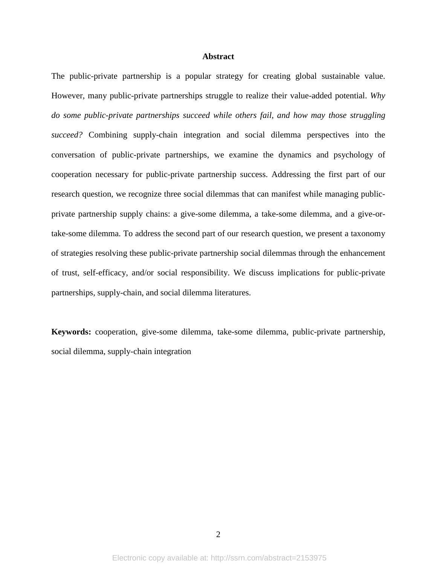#### **Abstract**

The public-private partnership is a popular strategy for creating global sustainable value. However, many public-private partnerships struggle to realize their value-added potential. *Why do some public-private partnerships succeed while others fail, and how may those struggling succeed?* Combining supply-chain integration and social dilemma perspectives into the conversation of public-private partnerships, we examine the dynamics and psychology of cooperation necessary for public-private partnership success. Addressing the first part of our research question, we recognize three social dilemmas that can manifest while managing publicprivate partnership supply chains: a give-some dilemma, a take-some dilemma, and a give-ortake-some dilemma. To address the second part of our research question, we present a taxonomy of strategies resolving these public-private partnership social dilemmas through the enhancement of trust, self-efficacy, and/or social responsibility. We discuss implications for public-private partnerships, supply-chain, and social dilemma literatures.

**Keywords:** cooperation, give-some dilemma, take-some dilemma, public-private partnership, social dilemma, supply-chain integration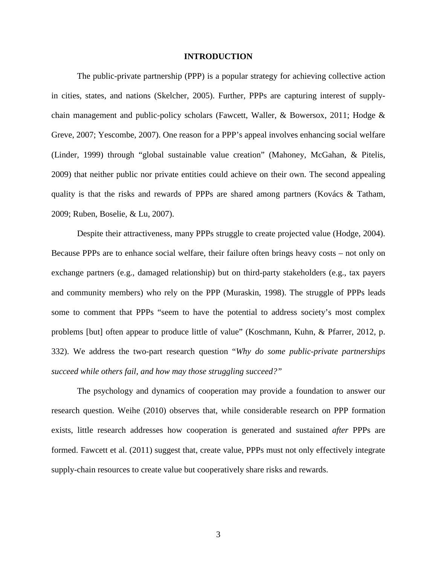#### **INTRODUCTION**

The public-private partnership (PPP) is a popular strategy for achieving collective action in cities, states, and nations (Skelcher, 2005). Further, PPPs are capturing interest of supplychain management and public-policy scholars (Fawcett, Waller, & Bowersox, 2011; Hodge & Greve, 2007; Yescombe, 2007). One reason for a PPP's appeal involves enhancing social welfare (Linder, 1999) through "global sustainable value creation" (Mahoney, McGahan, & Pitelis, 2009) that neither public nor private entities could achieve on their own. The second appealing quality is that the risks and rewards of PPPs are shared among partners (Kovács & Tatham, 2009; Ruben, Boselie, & Lu, 2007).

Despite their attractiveness, many PPPs struggle to create projected value (Hodge, 2004). Because PPPs are to enhance social welfare, their failure often brings heavy costs – not only on exchange partners (e.g., damaged relationship) but on third-party stakeholders (e.g., tax payers and community members) who rely on the PPP (Muraskin, 1998). The struggle of PPPs leads some to comment that PPPs "seem to have the potential to address society's most complex problems [but] often appear to produce little of value" (Koschmann, Kuhn, & Pfarrer, 2012, p. 332). We address the two-part research question "*Why do some public-private partnerships succeed while others fail, and how may those struggling succeed?"*

The psychology and dynamics of cooperation may provide a foundation to answer our research question. Weihe (2010) observes that, while considerable research on PPP formation exists, little research addresses how cooperation is generated and sustained *after* PPPs are formed. Fawcett et al. (2011) suggest that, create value, PPPs must not only effectively integrate supply-chain resources to create value but cooperatively share risks and rewards.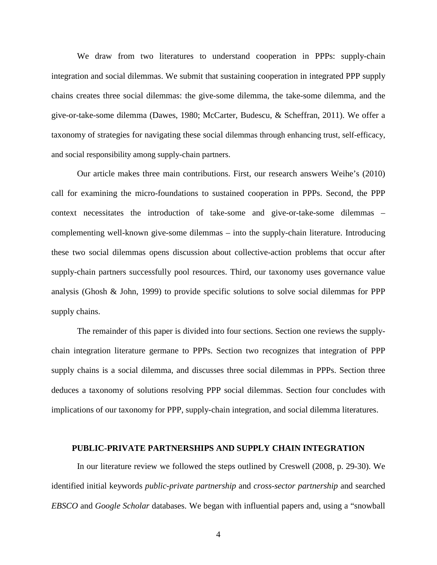We draw from two literatures to understand cooperation in PPPs: supply-chain integration and social dilemmas. We submit that sustaining cooperation in integrated PPP supply chains creates three social dilemmas: the give-some dilemma, the take-some dilemma, and the give-or-take-some dilemma (Dawes, 1980; McCarter, Budescu, & Scheffran, 2011). We offer a taxonomy of strategies for navigating these social dilemmas through enhancing trust, self-efficacy, and social responsibility among supply-chain partners.

Our article makes three main contributions. First, our research answers Weihe's (2010) call for examining the micro-foundations to sustained cooperation in PPPs. Second, the PPP context necessitates the introduction of take-some and give-or-take-some dilemmas – complementing well-known give-some dilemmas – into the supply-chain literature. Introducing these two social dilemmas opens discussion about collective-action problems that occur after supply-chain partners successfully pool resources. Third, our taxonomy uses governance value analysis (Ghosh & John, 1999) to provide specific solutions to solve social dilemmas for PPP supply chains.

The remainder of this paper is divided into four sections. Section one reviews the supplychain integration literature germane to PPPs. Section two recognizes that integration of PPP supply chains is a social dilemma, and discusses three social dilemmas in PPPs. Section three deduces a taxonomy of solutions resolving PPP social dilemmas. Section four concludes with implications of our taxonomy for PPP, supply-chain integration, and social dilemma literatures.

## **PUBLIC-PRIVATE PARTNERSHIPS AND SUPPLY CHAIN INTEGRATION**

In our literature review we followed the steps outlined by Creswell (2008, p. 29-30). We identified initial keywords *public-private partnership* and *cross-sector partnership* and searched *EBSCO* and *Google Scholar* databases. We began with influential papers and, using a "snowball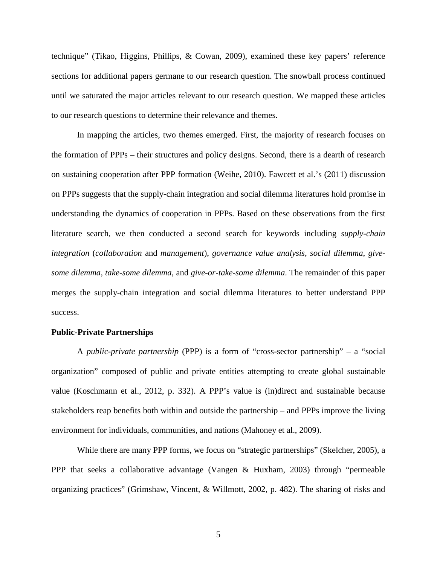technique" (Tikao, Higgins, Phillips, & Cowan, 2009), examined these key papers' reference sections for additional papers germane to our research question. The snowball process continued until we saturated the major articles relevant to our research question. We mapped these articles to our research questions to determine their relevance and themes.

In mapping the articles, two themes emerged. First, the majority of research focuses on the formation of PPPs – their structures and policy designs. Second, there is a dearth of research on sustaining cooperation after PPP formation (Weihe, 2010). Fawcett et al.'s (2011) discussion on PPPs suggests that the supply-chain integration and social dilemma literatures hold promise in understanding the dynamics of cooperation in PPPs. Based on these observations from the first literature search, we then conducted a second search for keywords including *supply-chain integration* (*collaboration* and *management*), *governance value analysis*, *social dilemma*, *givesome dilemma*, *take-some dilemma*, and *give-or-take-some dilemma*. The remainder of this paper merges the supply-chain integration and social dilemma literatures to better understand PPP success.

#### **Public-Private Partnerships**

A *public-private partnership* (PPP) is a form of "cross-sector partnership" – a "social organization" composed of public and private entities attempting to create global sustainable value (Koschmann et al., 2012, p. 332). A PPP's value is (in)direct and sustainable because stakeholders reap benefits both within and outside the partnership – and PPPs improve the living environment for individuals, communities, and nations (Mahoney et al., 2009).

While there are many PPP forms, we focus on "strategic partnerships" (Skelcher, 2005), a PPP that seeks a collaborative advantage (Vangen & Huxham, 2003) through "permeable organizing practices" (Grimshaw, Vincent, & Willmott, 2002, p. 482). The sharing of risks and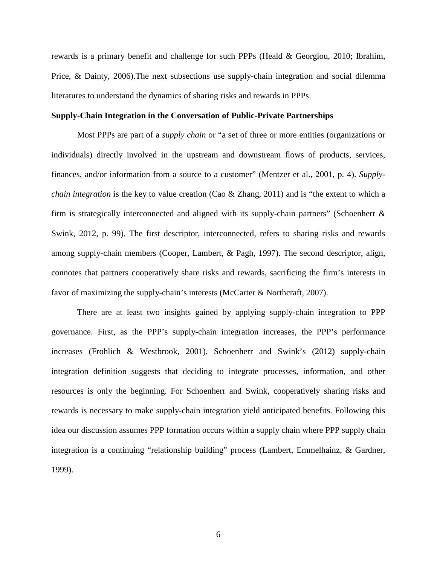rewards is a primary benefit and challenge for such PPPs (Heald & Georgiou, 2010; Ibrahim, Price, & Dainty, 2006).The next subsections use supply-chain integration and social dilemma literatures to understand the dynamics of sharing risks and rewards in PPPs.

#### **Supply-Chain Integration in the Conversation of Public-Private Partnerships**

Most PPPs are part of a *supply chain* or "a set of three or more entities (organizations or individuals) directly involved in the upstream and downstream flows of products, services, finances, and/or information from a source to a customer" (Mentzer et al., 2001, p. 4). *Supplychain integration* is the key to value creation (Cao & Zhang, 2011) and is "the extent to which a firm is strategically interconnected and aligned with its supply-chain partners" (Schoenherr  $\&$ Swink, 2012, p. 99). The first descriptor, interconnected, refers to sharing risks and rewards among supply-chain members (Cooper, Lambert, & Pagh, 1997). The second descriptor, align, connotes that partners cooperatively share risks and rewards, sacrificing the firm's interests in favor of maximizing the supply-chain's interests (McCarter & Northcraft, 2007).

There are at least two insights gained by applying supply-chain integration to PPP governance. First, as the PPP's supply-chain integration increases, the PPP's performance increases (Frohlich & Westbrook, 2001). Schoenherr and Swink's (2012) supply-chain integration definition suggests that deciding to integrate processes, information, and other resources is only the beginning. For Schoenherr and Swink, cooperatively sharing risks and rewards is necessary to make supply-chain integration yield anticipated benefits. Following this idea our discussion assumes PPP formation occurs within a supply chain where PPP supply chain integration is a continuing "relationship building" process (Lambert, Emmelhainz, & Gardner, 1999).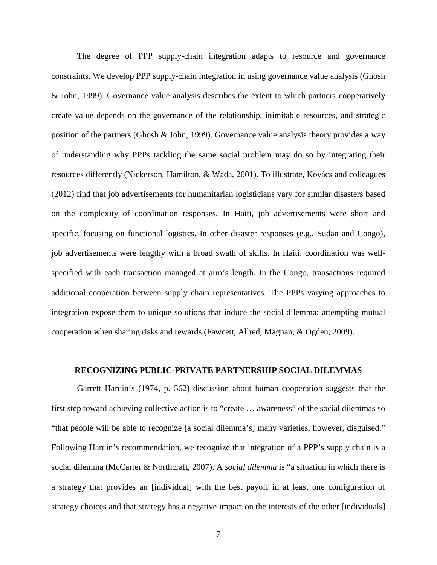The degree of PPP supply-chain integration adapts to resource and governance constraints. We develop PPP supply-chain integration in using governance value analysis (Ghosh & John, 1999). Governance value analysis describes the extent to which partners cooperatively create value depends on the governance of the relationship, inimitable resources, and strategic position of the partners (Ghosh & John, 1999). Governance value analysis theory provides a way of understanding why PPPs tackling the same social problem may do so by integrating their resources differently (Nickerson, Hamilton, & Wada, 2001). To illustrate, Kovács and colleagues (2012) find that job advertisements for humanitarian logisticians vary for similar disasters based on the complexity of coordination responses. In Haiti, job advertisements were short and specific, focusing on functional logistics. In other disaster responses (e.g., Sudan and Congo), job advertisements were lengthy with a broad swath of skills. In Haiti, coordination was wellspecified with each transaction managed at arm's length. In the Congo, transactions required additional cooperation between supply chain representatives. The PPPs varying approaches to integration expose them to unique solutions that induce the social dilemma: attempting mutual cooperation when sharing risks and rewards (Fawcett, Allred, Magnan, & Ogden, 2009).

## **RECOGNIZING PUBLIC-PRIVATE PARTNERSHIP SOCIAL DILEMMAS**

Garrett Hardin's (1974, p. 562) discussion about human cooperation suggests that the first step toward achieving collective action is to "create … awareness" of the social dilemmas so "that people will be able to recognize [a social dilemma's] many varieties, however, disguised." Following Hardin's recommendation, we recognize that integration of a PPP's supply chain is a social dilemma (McCarter & Northcraft, 2007). A *social dilemma* is "a situation in which there is a strategy that provides an [individual] with the best payoff in at least one configuration of strategy choices and that strategy has a negative impact on the interests of the other [individuals]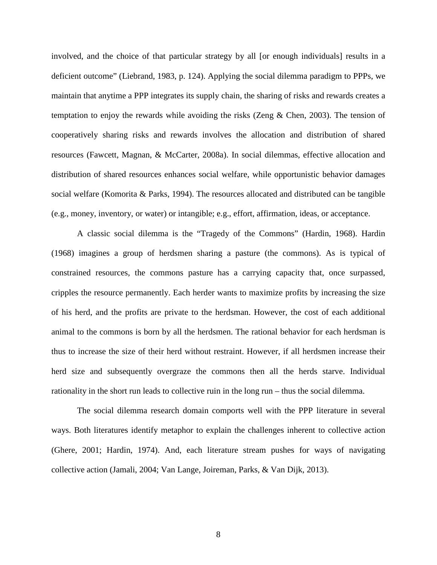involved, and the choice of that particular strategy by all [or enough individuals] results in a deficient outcome" (Liebrand, 1983, p. 124). Applying the social dilemma paradigm to PPPs, we maintain that anytime a PPP integrates its supply chain, the sharing of risks and rewards creates a temptation to enjoy the rewards while avoiding the risks (Zeng & Chen, 2003). The tension of cooperatively sharing risks and rewards involves the allocation and distribution of shared resources (Fawcett, Magnan, & McCarter, 2008a). In social dilemmas, effective allocation and distribution of shared resources enhances social welfare, while opportunistic behavior damages social welfare (Komorita & Parks, 1994). The resources allocated and distributed can be tangible (e.g., money, inventory, or water) or intangible; e.g., effort, affirmation, ideas, or acceptance.

A classic social dilemma is the "Tragedy of the Commons" (Hardin, 1968). Hardin (1968) imagines a group of herdsmen sharing a pasture (the commons). As is typical of constrained resources, the commons pasture has a carrying capacity that, once surpassed, cripples the resource permanently. Each herder wants to maximize profits by increasing the size of his herd, and the profits are private to the herdsman. However, the cost of each additional animal to the commons is born by all the herdsmen. The rational behavior for each herdsman is thus to increase the size of their herd without restraint. However, if all herdsmen increase their herd size and subsequently overgraze the commons then all the herds starve. Individual rationality in the short run leads to collective ruin in the long run – thus the social dilemma.

The social dilemma research domain comports well with the PPP literature in several ways. Both literatures identify metaphor to explain the challenges inherent to collective action (Ghere, 2001; Hardin, 1974). And, each literature stream pushes for ways of navigating collective action (Jamali, 2004; Van Lange, Joireman, Parks, & Van Dijk, 2013).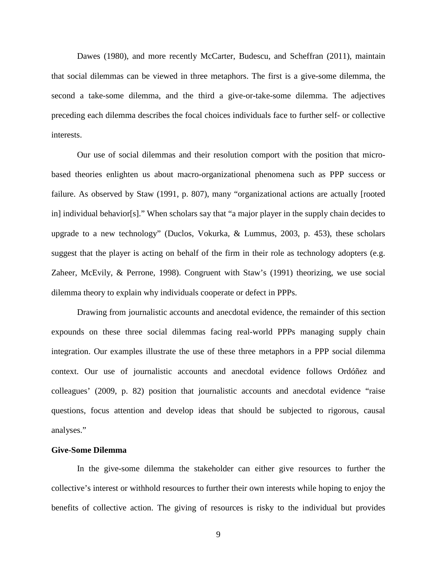Dawes (1980), and more recently McCarter, Budescu, and Scheffran (2011), maintain that social dilemmas can be viewed in three metaphors. The first is a give-some dilemma, the second a take-some dilemma, and the third a give-or-take-some dilemma. The adjectives preceding each dilemma describes the focal choices individuals face to further self- or collective interests.

Our use of social dilemmas and their resolution comport with the position that microbased theories enlighten us about macro-organizational phenomena such as PPP success or failure. As observed by Staw (1991, p. 807), many "organizational actions are actually [rooted in] individual behavior[s]." When scholars say that "a major player in the supply chain decides to upgrade to a new technology" (Duclos, Vokurka, & Lummus, 2003, p. 453), these scholars suggest that the player is acting on behalf of the firm in their role as technology adopters (e.g. Zaheer, McEvily, & Perrone, 1998). Congruent with Staw's (1991) theorizing, we use social dilemma theory to explain why individuals cooperate or defect in PPPs.

Drawing from journalistic accounts and anecdotal evidence, the remainder of this section expounds on these three social dilemmas facing real-world PPPs managing supply chain integration. Our examples illustrate the use of these three metaphors in a PPP social dilemma context. Our use of journalistic accounts and anecdotal evidence follows Ordóñez and colleagues' (2009, p. 82) position that journalistic accounts and anecdotal evidence "raise questions, focus attention and develop ideas that should be subjected to rigorous, causal analyses."

#### **Give-Some Dilemma**

In the give-some dilemma the stakeholder can either give resources to further the collective's interest or withhold resources to further their own interests while hoping to enjoy the benefits of collective action. The giving of resources is risky to the individual but provides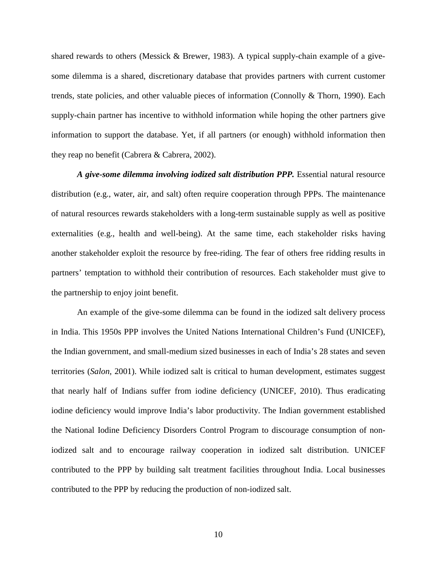shared rewards to others (Messick & Brewer, 1983). A typical supply-chain example of a givesome dilemma is a shared, discretionary database that provides partners with current customer trends, state policies, and other valuable pieces of information (Connolly & Thorn, 1990). Each supply-chain partner has incentive to withhold information while hoping the other partners give information to support the database. Yet, if all partners (or enough) withhold information then they reap no benefit (Cabrera & Cabrera, 2002).

*A give-some dilemma involving iodized salt distribution PPP.* Essential natural resource distribution (e.g., water, air, and salt) often require cooperation through PPPs. The maintenance of natural resources rewards stakeholders with a long-term sustainable supply as well as positive externalities (e.g., health and well-being). At the same time, each stakeholder risks having another stakeholder exploit the resource by free-riding. The fear of others free ridding results in partners' temptation to withhold their contribution of resources. Each stakeholder must give to the partnership to enjoy joint benefit.

An example of the give-some dilemma can be found in the iodized salt delivery process in India. This 1950s PPP involves the United Nations International Children's Fund (UNICEF), the Indian government, and small-medium sized businesses in each of India's 28 states and seven territories (*Salon*, 2001). While iodized salt is critical to human development, estimates suggest that nearly half of Indians suffer from iodine deficiency (UNICEF, 2010). Thus eradicating iodine deficiency would improve India's labor productivity. The Indian government established the National Iodine Deficiency Disorders Control Program to discourage consumption of noniodized salt and to encourage railway cooperation in iodized salt distribution. UNICEF contributed to the PPP by building salt treatment facilities throughout India. Local businesses contributed to the PPP by reducing the production of non-iodized salt.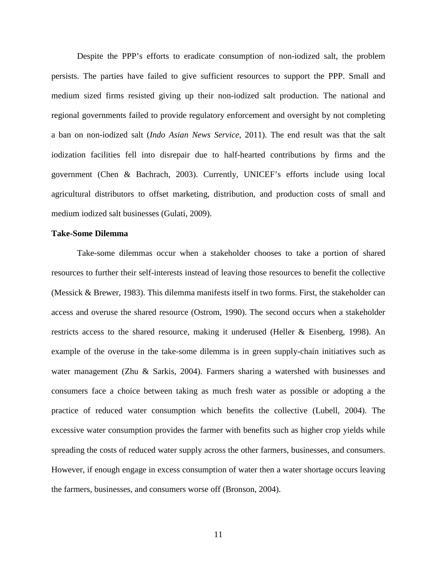Despite the PPP's efforts to eradicate consumption of non-iodized salt, the problem persists. The parties have failed to give sufficient resources to support the PPP. Small and medium sized firms resisted giving up their non-iodized salt production. The national and regional governments failed to provide regulatory enforcement and oversight by not completing a ban on non-iodized salt (*Indo Asian News Service*, 2011). The end result was that the salt iodization facilities fell into disrepair due to half-hearted contributions by firms and the government (Chen & Bachrach, 2003). Currently, UNICEF's efforts include using local agricultural distributors to offset marketing, distribution, and production costs of small and medium iodized salt businesses (Gulati, 2009).

#### **Take-Some Dilemma**

Take-some dilemmas occur when a stakeholder chooses to take a portion of shared resources to further their self-interests instead of leaving those resources to benefit the collective (Messick & Brewer, 1983). This dilemma manifests itself in two forms. First, the stakeholder can access and overuse the shared resource (Ostrom, 1990). The second occurs when a stakeholder restricts access to the shared resource, making it underused (Heller & Eisenberg, 1998). An example of the overuse in the take-some dilemma is in green supply-chain initiatives such as water management (Zhu & Sarkis, 2004). Farmers sharing a watershed with businesses and consumers face a choice between taking as much fresh water as possible or adopting a the practice of reduced water consumption which benefits the collective (Lubell, 2004). The excessive water consumption provides the farmer with benefits such as higher crop yields while spreading the costs of reduced water supply across the other farmers, businesses, and consumers. However, if enough engage in excess consumption of water then a water shortage occurs leaving the farmers, businesses, and consumers worse off (Bronson, 2004).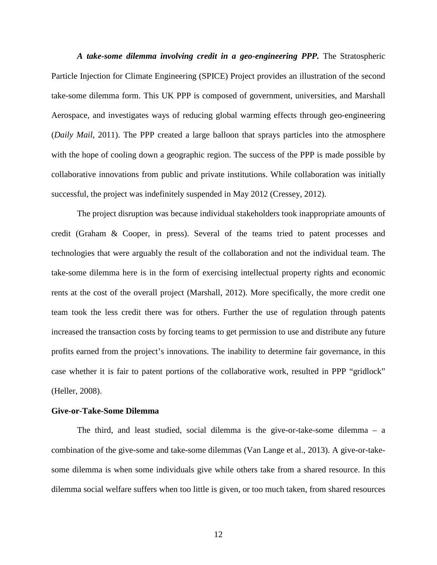*A take-some dilemma involving credit in a geo-engineering PPP.* The Stratospheric Particle Injection for Climate Engineering (SPICE) Project provides an illustration of the second take-some dilemma form. This UK PPP is composed of government, universities, and Marshall Aerospace, and investigates ways of reducing global warming effects through geo-engineering (*Daily Mail*, 2011). The PPP created a large balloon that sprays particles into the atmosphere with the hope of cooling down a geographic region. The success of the PPP is made possible by collaborative innovations from public and private institutions. While collaboration was initially successful, the project was indefinitely suspended in May 2012 (Cressey, 2012).

The project disruption was because individual stakeholders took inappropriate amounts of credit (Graham & Cooper, in press). Several of the teams tried to patent processes and technologies that were arguably the result of the collaboration and not the individual team. The take-some dilemma here is in the form of exercising intellectual property rights and economic rents at the cost of the overall project (Marshall, 2012). More specifically, the more credit one team took the less credit there was for others. Further the use of regulation through patents increased the transaction costs by forcing teams to get permission to use and distribute any future profits earned from the project's innovations. The inability to determine fair governance, in this case whether it is fair to patent portions of the collaborative work, resulted in PPP "gridlock" (Heller, 2008).

#### **Give-or-Take-Some Dilemma**

The third, and least studied, social dilemma is the give-or-take-some dilemma – a combination of the give-some and take-some dilemmas (Van Lange et al., 2013). A give-or-takesome dilemma is when some individuals give while others take from a shared resource. In this dilemma social welfare suffers when too little is given, or too much taken, from shared resources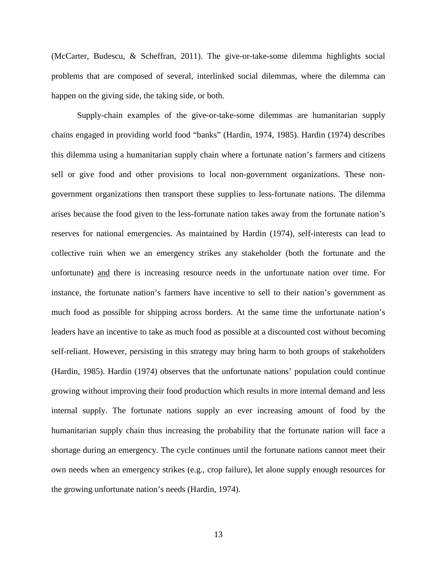(McCarter, Budescu, & Scheffran, 2011). The give-or-take-some dilemma highlights social problems that are composed of several, interlinked social dilemmas, where the dilemma can happen on the giving side, the taking side, or both.

Supply-chain examples of the give-or-take-some dilemmas are humanitarian supply chains engaged in providing world food "banks" (Hardin, 1974, 1985). Hardin (1974) describes this dilemma using a humanitarian supply chain where a fortunate nation's farmers and citizens sell or give food and other provisions to local non-government organizations. These nongovernment organizations then transport these supplies to less-fortunate nations. The dilemma arises because the food given to the less-fortunate nation takes away from the fortunate nation's reserves for national emergencies. As maintained by Hardin (1974), self-interests can lead to collective ruin when we an emergency strikes any stakeholder (both the fortunate and the unfortunate) and there is increasing resource needs in the unfortunate nation over time. For instance, the fortunate nation's farmers have incentive to sell to their nation's government as much food as possible for shipping across borders. At the same time the unfortunate nation's leaders have an incentive to take as much food as possible at a discounted cost without becoming self-reliant. However, persisting in this strategy may bring harm to both groups of stakeholders (Hardin, 1985). Hardin (1974) observes that the unfortunate nations' population could continue growing without improving their food production which results in more internal demand and less internal supply. The fortunate nations supply an ever increasing amount of food by the humanitarian supply chain thus increasing the probability that the fortunate nation will face a shortage during an emergency. The cycle continues until the fortunate nations cannot meet their own needs when an emergency strikes (e.g., crop failure), let alone supply enough resources for the growing unfortunate nation's needs (Hardin, 1974).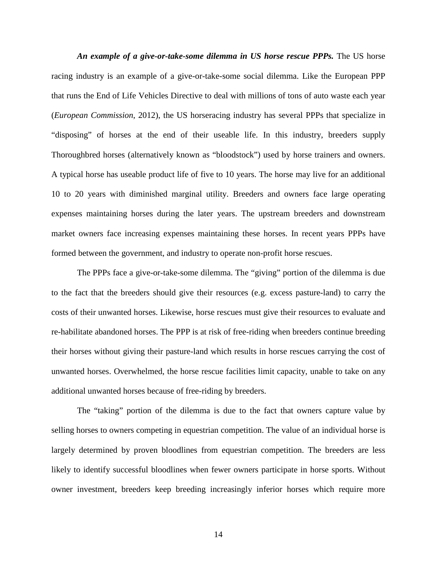*An example of a give-or-take-some dilemma in US horse rescue PPPs.* The US horse racing industry is an example of a give-or-take-some social dilemma. Like the European PPP that runs the End of Life Vehicles Directive to deal with millions of tons of auto waste each year (*European Commission*, 2012), the US horseracing industry has several PPPs that specialize in "disposing" of horses at the end of their useable life. In this industry, breeders supply Thoroughbred horses (alternatively known as "bloodstock") used by horse trainers and owners. A typical horse has useable product life of five to 10 years. The horse may live for an additional 10 to 20 years with diminished marginal utility. Breeders and owners face large operating expenses maintaining horses during the later years. The upstream breeders and downstream market owners face increasing expenses maintaining these horses. In recent years PPPs have formed between the government, and industry to operate non-profit horse rescues.

The PPPs face a give-or-take-some dilemma. The "giving" portion of the dilemma is due to the fact that the breeders should give their resources (e.g. excess pasture-land) to carry the costs of their unwanted horses. Likewise, horse rescues must give their resources to evaluate and re-habilitate abandoned horses. The PPP is at risk of free-riding when breeders continue breeding their horses without giving their pasture-land which results in horse rescues carrying the cost of unwanted horses. Overwhelmed, the horse rescue facilities limit capacity, unable to take on any additional unwanted horses because of free-riding by breeders.

The "taking" portion of the dilemma is due to the fact that owners capture value by selling horses to owners competing in equestrian competition. The value of an individual horse is largely determined by proven bloodlines from equestrian competition. The breeders are less likely to identify successful bloodlines when fewer owners participate in horse sports. Without owner investment, breeders keep breeding increasingly inferior horses which require more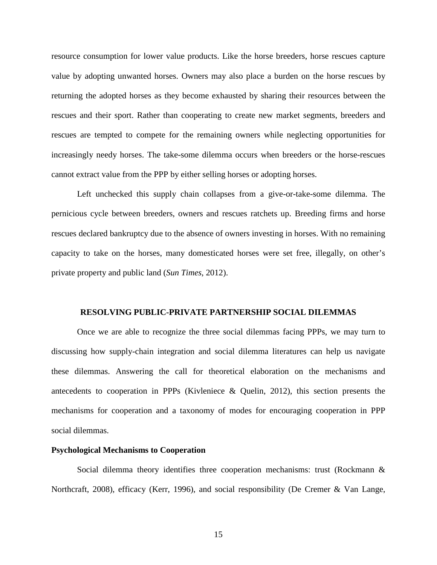resource consumption for lower value products. Like the horse breeders, horse rescues capture value by adopting unwanted horses. Owners may also place a burden on the horse rescues by returning the adopted horses as they become exhausted by sharing their resources between the rescues and their sport. Rather than cooperating to create new market segments, breeders and rescues are tempted to compete for the remaining owners while neglecting opportunities for increasingly needy horses. The take-some dilemma occurs when breeders or the horse-rescues cannot extract value from the PPP by either selling horses or adopting horses.

Left unchecked this supply chain collapses from a give-or-take-some dilemma. The pernicious cycle between breeders, owners and rescues ratchets up. Breeding firms and horse rescues declared bankruptcy due to the absence of owners investing in horses. With no remaining capacity to take on the horses, many domesticated horses were set free, illegally, on other's private property and public land (*Sun Times*, 2012).

#### **RESOLVING PUBLIC-PRIVATE PARTNERSHIP SOCIAL DILEMMAS**

Once we are able to recognize the three social dilemmas facing PPPs, we may turn to discussing how supply-chain integration and social dilemma literatures can help us navigate these dilemmas. Answering the call for theoretical elaboration on the mechanisms and antecedents to cooperation in PPPs (Kivleniece & Quelin, 2012), this section presents the mechanisms for cooperation and a taxonomy of modes for encouraging cooperation in PPP social dilemmas.

#### **Psychological Mechanisms to Cooperation**

Social dilemma theory identifies three cooperation mechanisms: trust (Rockmann & Northcraft, 2008), efficacy (Kerr, 1996), and social responsibility (De Cremer & Van Lange,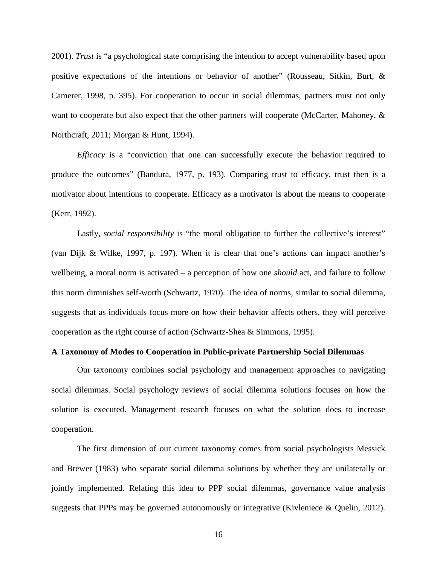2001). *Trust* is "a psychological state comprising the intention to accept vulnerability based upon positive expectations of the intentions or behavior of another" (Rousseau, Sitkin, Burt, & Camerer, 1998, p. 395). For cooperation to occur in social dilemmas, partners must not only want to cooperate but also expect that the other partners will cooperate (McCarter, Mahoney, & Northcraft, 2011; Morgan & Hunt, 1994).

*Efficacy* is a "conviction that one can successfully execute the behavior required to produce the outcomes" (Bandura, 1977, p. 193). Comparing trust to efficacy, trust then is a motivator about intentions to cooperate. Efficacy as a motivator is about the means to cooperate (Kerr, 1992).

Lastly, *social responsibility* is "the moral obligation to further the collective's interest" (van Dijk & Wilke, 1997, p. 197). When it is clear that one's actions can impact another's wellbeing, a moral norm is activated – a perception of how one *should* act, and failure to follow this norm diminishes self-worth (Schwartz, 1970). The idea of norms, similar to social dilemma, suggests that as individuals focus more on how their behavior affects others, they will perceive cooperation as the right course of action (Schwartz-Shea & Simmons, 1995).

#### **A Taxonomy of Modes to Cooperation in Public-private Partnership Social Dilemmas**

Our taxonomy combines social psychology and management approaches to navigating social dilemmas. Social psychology reviews of social dilemma solutions focuses on how the solution is executed. Management research focuses on what the solution does to increase cooperation.

The first dimension of our current taxonomy comes from social psychologists Messick and Brewer (1983) who separate social dilemma solutions by whether they are unilaterally or jointly implemented. Relating this idea to PPP social dilemmas, governance value analysis suggests that PPPs may be governed autonomously or integrative (Kivleniece & Quelin, 2012).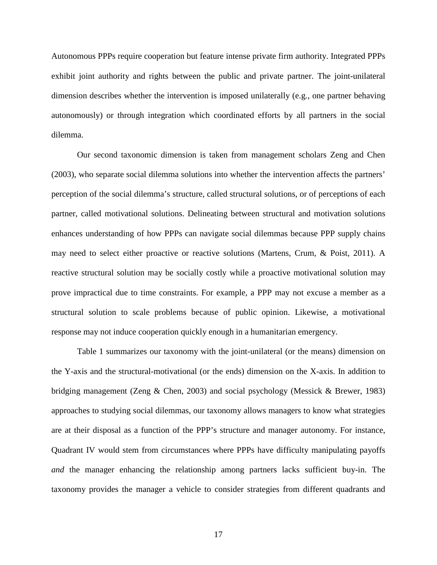Autonomous PPPs require cooperation but feature intense private firm authority. Integrated PPPs exhibit joint authority and rights between the public and private partner. The joint-unilateral dimension describes whether the intervention is imposed unilaterally (e.g., one partner behaving autonomously) or through integration which coordinated efforts by all partners in the social dilemma.

Our second taxonomic dimension is taken from management scholars Zeng and Chen (2003), who separate social dilemma solutions into whether the intervention affects the partners' perception of the social dilemma's structure, called structural solutions, or of perceptions of each partner, called motivational solutions. Delineating between structural and motivation solutions enhances understanding of how PPPs can navigate social dilemmas because PPP supply chains may need to select either proactive or reactive solutions (Martens, Crum, & Poist, 2011). A reactive structural solution may be socially costly while a proactive motivational solution may prove impractical due to time constraints. For example, a PPP may not excuse a member as a structural solution to scale problems because of public opinion. Likewise, a motivational response may not induce cooperation quickly enough in a humanitarian emergency.

Table 1 summarizes our taxonomy with the joint-unilateral (or the means) dimension on the Y-axis and the structural-motivational (or the ends) dimension on the X-axis. In addition to bridging management (Zeng & Chen, 2003) and social psychology (Messick & Brewer, 1983) approaches to studying social dilemmas, our taxonomy allows managers to know what strategies are at their disposal as a function of the PPP's structure and manager autonomy. For instance, Quadrant IV would stem from circumstances where PPPs have difficulty manipulating payoffs *and* the manager enhancing the relationship among partners lacks sufficient buy-in. The taxonomy provides the manager a vehicle to consider strategies from different quadrants and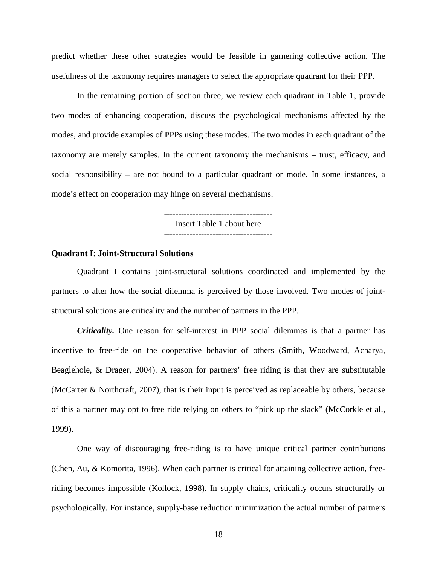predict whether these other strategies would be feasible in garnering collective action. The usefulness of the taxonomy requires managers to select the appropriate quadrant for their PPP.

In the remaining portion of section three, we review each quadrant in Table 1, provide two modes of enhancing cooperation, discuss the psychological mechanisms affected by the modes, and provide examples of PPPs using these modes. The two modes in each quadrant of the taxonomy are merely samples. In the current taxonomy the mechanisms – trust, efficacy, and social responsibility – are not bound to a particular quadrant or mode. In some instances, a mode's effect on cooperation may hinge on several mechanisms.

Insert Table 1 about here

#### **Quadrant I: Joint-Structural Solutions**

Quadrant I contains joint-structural solutions coordinated and implemented by the partners to alter how the social dilemma is perceived by those involved. Two modes of jointstructural solutions are criticality and the number of partners in the PPP.

*Criticality.* One reason for self-interest in PPP social dilemmas is that a partner has incentive to free-ride on the cooperative behavior of others (Smith, Woodward, Acharya, Beaglehole, & Drager, 2004). A reason for partners' free riding is that they are substitutable (McCarter & Northcraft, 2007), that is their input is perceived as replaceable by others, because of this a partner may opt to free ride relying on others to "pick up the slack" (McCorkle et al., 1999).

One way of discouraging free-riding is to have unique critical partner contributions (Chen, Au, & Komorita, 1996). When each partner is critical for attaining collective action, freeriding becomes impossible (Kollock, 1998). In supply chains, criticality occurs structurally or psychologically. For instance, supply-base reduction minimization the actual number of partners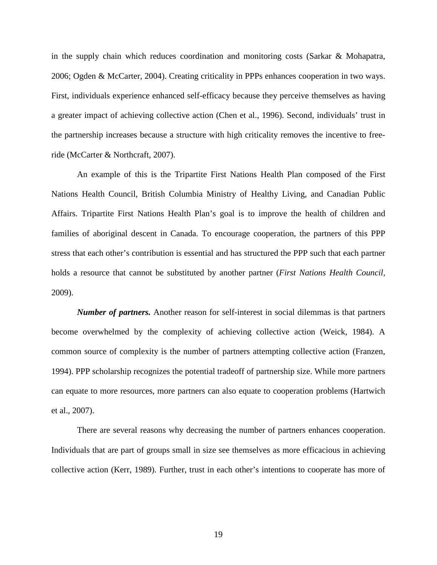in the supply chain which reduces coordination and monitoring costs (Sarkar & Mohapatra, 2006; Ogden & McCarter, 2004). Creating criticality in PPPs enhances cooperation in two ways. First, individuals experience enhanced self-efficacy because they perceive themselves as having a greater impact of achieving collective action (Chen et al., 1996). Second, individuals' trust in the partnership increases because a structure with high criticality removes the incentive to freeride (McCarter & Northcraft, 2007).

An example of this is the Tripartite First Nations Health Plan composed of the First Nations Health Council, British Columbia Ministry of Healthy Living, and Canadian Public Affairs. Tripartite First Nations Health Plan's goal is to improve the health of children and families of aboriginal descent in Canada. To encourage cooperation, the partners of this PPP stress that each other's contribution is essential and has structured the PPP such that each partner holds a resource that cannot be substituted by another partner (*First Nations Health Council*, 2009).

*Number of partners.* Another reason for self-interest in social dilemmas is that partners become overwhelmed by the complexity of achieving collective action (Weick, 1984). A common source of complexity is the number of partners attempting collective action (Franzen, 1994). PPP scholarship recognizes the potential tradeoff of partnership size. While more partners can equate to more resources, more partners can also equate to cooperation problems (Hartwich et al., 2007).

There are several reasons why decreasing the number of partners enhances cooperation. Individuals that are part of groups small in size see themselves as more efficacious in achieving collective action (Kerr, 1989). Further, trust in each other's intentions to cooperate has more of

19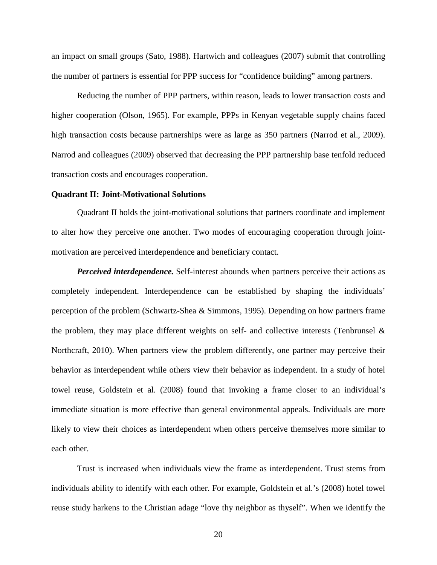an impact on small groups (Sato, 1988). Hartwich and colleagues (2007) submit that controlling the number of partners is essential for PPP success for "confidence building" among partners.

Reducing the number of PPP partners, within reason, leads to lower transaction costs and higher cooperation (Olson, 1965). For example, PPPs in Kenyan vegetable supply chains faced high transaction costs because partnerships were as large as 350 partners (Narrod et al., 2009). Narrod and colleagues (2009) observed that decreasing the PPP partnership base tenfold reduced transaction costs and encourages cooperation.

#### **Quadrant II: Joint-Motivational Solutions**

Quadrant II holds the joint-motivational solutions that partners coordinate and implement to alter how they perceive one another. Two modes of encouraging cooperation through jointmotivation are perceived interdependence and beneficiary contact.

*Perceived interdependence.* Self-interest abounds when partners perceive their actions as completely independent. Interdependence can be established by shaping the individuals' perception of the problem (Schwartz-Shea & Simmons, 1995). Depending on how partners frame the problem, they may place different weights on self- and collective interests (Tenbrunsel  $\&$ Northcraft, 2010). When partners view the problem differently, one partner may perceive their behavior as interdependent while others view their behavior as independent. In a study of hotel towel reuse, Goldstein et al. (2008) found that invoking a frame closer to an individual's immediate situation is more effective than general environmental appeals. Individuals are more likely to view their choices as interdependent when others perceive themselves more similar to each other.

Trust is increased when individuals view the frame as interdependent. Trust stems from individuals ability to identify with each other. For example, Goldstein et al.'s (2008) hotel towel reuse study harkens to the Christian adage "love thy neighbor as thyself". When we identify the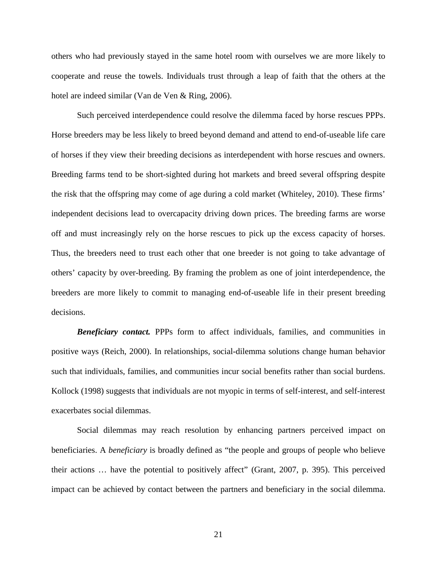others who had previously stayed in the same hotel room with ourselves we are more likely to cooperate and reuse the towels. Individuals trust through a leap of faith that the others at the hotel are indeed similar (Van de Ven & Ring, 2006).

Such perceived interdependence could resolve the dilemma faced by horse rescues PPPs. Horse breeders may be less likely to breed beyond demand and attend to end-of-useable life care of horses if they view their breeding decisions as interdependent with horse rescues and owners. Breeding farms tend to be short-sighted during hot markets and breed several offspring despite the risk that the offspring may come of age during a cold market (Whiteley, 2010). These firms' independent decisions lead to overcapacity driving down prices. The breeding farms are worse off and must increasingly rely on the horse rescues to pick up the excess capacity of horses. Thus, the breeders need to trust each other that one breeder is not going to take advantage of others' capacity by over-breeding. By framing the problem as one of joint interdependence, the breeders are more likely to commit to managing end-of-useable life in their present breeding decisions.

*Beneficiary contact.* PPPs form to affect individuals, families, and communities in positive ways (Reich, 2000). In relationships, social-dilemma solutions change human behavior such that individuals, families, and communities incur social benefits rather than social burdens. Kollock (1998) suggests that individuals are not myopic in terms of self-interest, and self-interest exacerbates social dilemmas.

Social dilemmas may reach resolution by enhancing partners perceived impact on beneficiaries. A *beneficiary* is broadly defined as "the people and groups of people who believe their actions … have the potential to positively affect" (Grant, 2007, p. 395). This perceived impact can be achieved by contact between the partners and beneficiary in the social dilemma.

21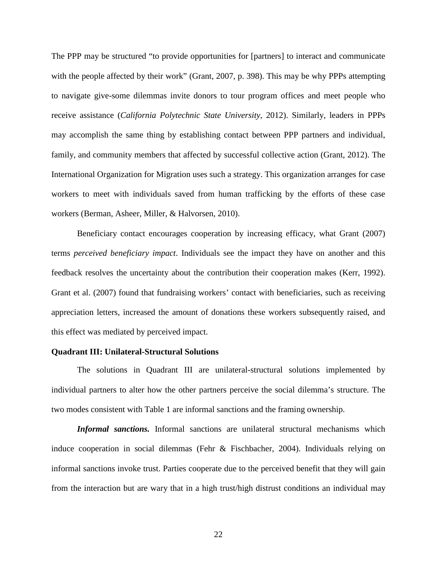The PPP may be structured "to provide opportunities for [partners] to interact and communicate with the people affected by their work" (Grant, 2007, p. 398). This may be why PPPs attempting to navigate give-some dilemmas invite donors to tour program offices and meet people who receive assistance (*California Polytechnic State University*, 2012). Similarly, leaders in PPPs may accomplish the same thing by establishing contact between PPP partners and individual, family, and community members that affected by successful collective action (Grant, 2012). The International Organization for Migration uses such a strategy. This organization arranges for case workers to meet with individuals saved from human trafficking by the efforts of these case workers (Berman, Asheer, Miller, & Halvorsen, 2010).

Beneficiary contact encourages cooperation by increasing efficacy, what Grant (2007) terms *perceived beneficiary impact*. Individuals see the impact they have on another and this feedback resolves the uncertainty about the contribution their cooperation makes (Kerr, 1992). Grant et al. (2007) found that fundraising workers' contact with beneficiaries, such as receiving appreciation letters, increased the amount of donations these workers subsequently raised, and this effect was mediated by perceived impact.

#### **Quadrant III: Unilateral-Structural Solutions**

The solutions in Quadrant III are unilateral-structural solutions implemented by individual partners to alter how the other partners perceive the social dilemma's structure. The two modes consistent with Table 1 are informal sanctions and the framing ownership.

*Informal sanctions.* Informal sanctions are unilateral structural mechanisms which induce cooperation in social dilemmas (Fehr & Fischbacher, 2004). Individuals relying on informal sanctions invoke trust. Parties cooperate due to the perceived benefit that they will gain from the interaction but are wary that in a high trust/high distrust conditions an individual may

22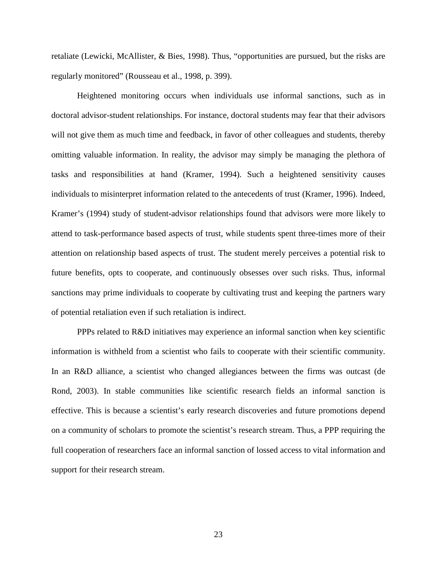retaliate (Lewicki, McAllister, & Bies, 1998). Thus, "opportunities are pursued, but the risks are regularly monitored" (Rousseau et al., 1998, p. 399).

Heightened monitoring occurs when individuals use informal sanctions, such as in doctoral advisor-student relationships. For instance, doctoral students may fear that their advisors will not give them as much time and feedback, in favor of other colleagues and students, thereby omitting valuable information. In reality, the advisor may simply be managing the plethora of tasks and responsibilities at hand (Kramer, 1994). Such a heightened sensitivity causes individuals to misinterpret information related to the antecedents of trust (Kramer, 1996). Indeed, Kramer's (1994) study of student-advisor relationships found that advisors were more likely to attend to task-performance based aspects of trust, while students spent three-times more of their attention on relationship based aspects of trust. The student merely perceives a potential risk to future benefits, opts to cooperate, and continuously obsesses over such risks. Thus, informal sanctions may prime individuals to cooperate by cultivating trust and keeping the partners wary of potential retaliation even if such retaliation is indirect.

PPPs related to R&D initiatives may experience an informal sanction when key scientific information is withheld from a scientist who fails to cooperate with their scientific community. In an R&D alliance, a scientist who changed allegiances between the firms was outcast (de Rond, 2003). In stable communities like scientific research fields an informal sanction is effective. This is because a scientist's early research discoveries and future promotions depend on a community of scholars to promote the scientist's research stream. Thus, a PPP requiring the full cooperation of researchers face an informal sanction of lossed access to vital information and support for their research stream.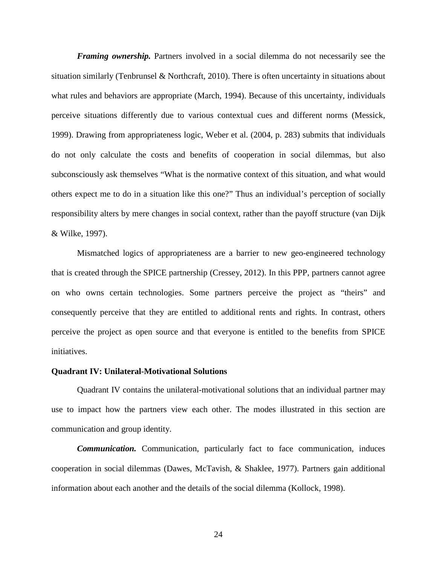*Framing ownership.* Partners involved in a social dilemma do not necessarily see the situation similarly (Tenbrunsel & Northcraft, 2010). There is often uncertainty in situations about what rules and behaviors are appropriate (March, 1994). Because of this uncertainty, individuals perceive situations differently due to various contextual cues and different norms (Messick, 1999). Drawing from appropriateness logic, Weber et al. (2004, p. 283) submits that individuals do not only calculate the costs and benefits of cooperation in social dilemmas, but also subconsciously ask themselves "What is the normative context of this situation, and what would others expect me to do in a situation like this one?" Thus an individual's perception of socially responsibility alters by mere changes in social context, rather than the payoff structure (van Dijk & Wilke, 1997).

Mismatched logics of appropriateness are a barrier to new geo-engineered technology that is created through the SPICE partnership (Cressey, 2012). In this PPP, partners cannot agree on who owns certain technologies. Some partners perceive the project as "theirs" and consequently perceive that they are entitled to additional rents and rights. In contrast, others perceive the project as open source and that everyone is entitled to the benefits from SPICE initiatives.

## **Quadrant IV: Unilateral-Motivational Solutions**

Quadrant IV contains the unilateral-motivational solutions that an individual partner may use to impact how the partners view each other. The modes illustrated in this section are communication and group identity.

*Communication.* Communication, particularly fact to face communication, induces cooperation in social dilemmas (Dawes, McTavish, & Shaklee, 1977). Partners gain additional information about each another and the details of the social dilemma (Kollock, 1998).

24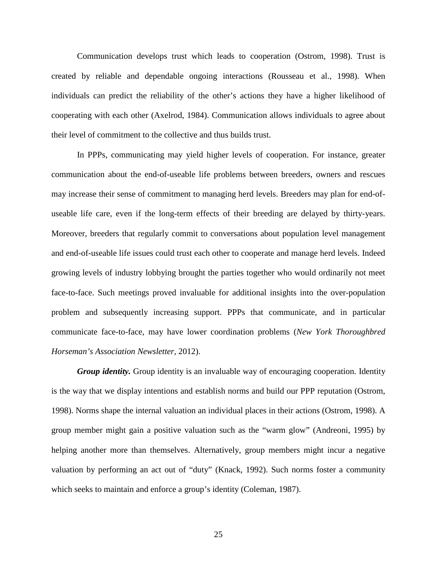Communication develops trust which leads to cooperation (Ostrom, 1998). Trust is created by reliable and dependable ongoing interactions (Rousseau et al., 1998). When individuals can predict the reliability of the other's actions they have a higher likelihood of cooperating with each other (Axelrod, 1984). Communication allows individuals to agree about their level of commitment to the collective and thus builds trust.

In PPPs, communicating may yield higher levels of cooperation. For instance, greater communication about the end-of-useable life problems between breeders, owners and rescues may increase their sense of commitment to managing herd levels. Breeders may plan for end-ofuseable life care, even if the long-term effects of their breeding are delayed by thirty-years. Moreover, breeders that regularly commit to conversations about population level management and end-of-useable life issues could trust each other to cooperate and manage herd levels. Indeed growing levels of industry lobbying brought the parties together who would ordinarily not meet face-to-face. Such meetings proved invaluable for additional insights into the over-population problem and subsequently increasing support. PPPs that communicate, and in particular communicate face-to-face, may have lower coordination problems (*New York Thoroughbred Horseman's Association Newsletter*, 2012).

*Group identity.* Group identity is an invaluable way of encouraging cooperation. Identity is the way that we display intentions and establish norms and build our PPP reputation (Ostrom, 1998). Norms shape the internal valuation an individual places in their actions (Ostrom, 1998). A group member might gain a positive valuation such as the "warm glow" (Andreoni, 1995) by helping another more than themselves. Alternatively, group members might incur a negative valuation by performing an act out of "duty" (Knack, 1992). Such norms foster a community which seeks to maintain and enforce a group's identity (Coleman, 1987).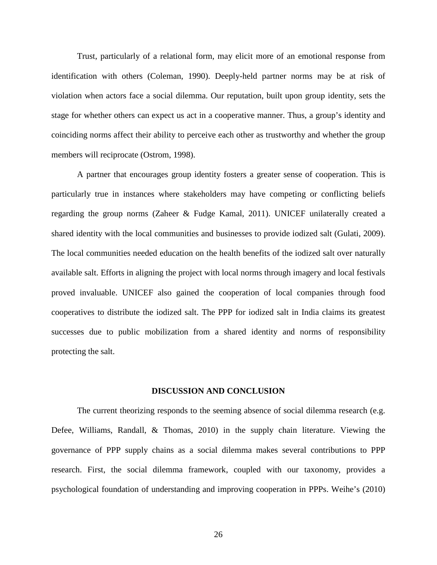Trust, particularly of a relational form, may elicit more of an emotional response from identification with others (Coleman, 1990). Deeply-held partner norms may be at risk of violation when actors face a social dilemma. Our reputation, built upon group identity, sets the stage for whether others can expect us act in a cooperative manner. Thus, a group's identity and coinciding norms affect their ability to perceive each other as trustworthy and whether the group members will reciprocate (Ostrom, 1998).

A partner that encourages group identity fosters a greater sense of cooperation. This is particularly true in instances where stakeholders may have competing or conflicting beliefs regarding the group norms (Zaheer & Fudge Kamal, 2011). UNICEF unilaterally created a shared identity with the local communities and businesses to provide iodized salt (Gulati, 2009). The local communities needed education on the health benefits of the iodized salt over naturally available salt. Efforts in aligning the project with local norms through imagery and local festivals proved invaluable. UNICEF also gained the cooperation of local companies through food cooperatives to distribute the iodized salt. The PPP for iodized salt in India claims its greatest successes due to public mobilization from a shared identity and norms of responsibility protecting the salt.

#### **DISCUSSION AND CONCLUSION**

The current theorizing responds to the seeming absence of social dilemma research (e.g. Defee, Williams, Randall, & Thomas, 2010) in the supply chain literature. Viewing the governance of PPP supply chains as a social dilemma makes several contributions to PPP research. First, the social dilemma framework, coupled with our taxonomy, provides a psychological foundation of understanding and improving cooperation in PPPs. Weihe's (2010)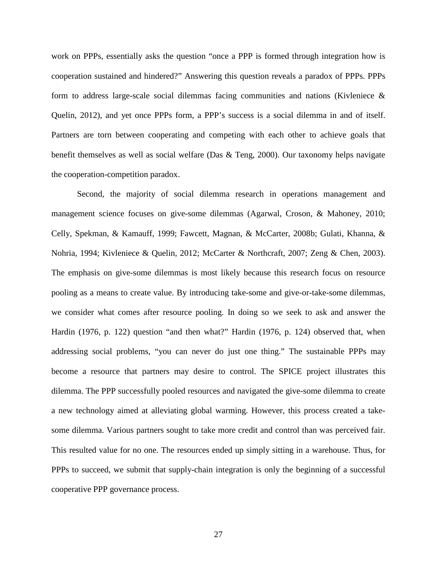work on PPPs, essentially asks the question "once a PPP is formed through integration how is cooperation sustained and hindered?" Answering this question reveals a paradox of PPPs. PPPs form to address large-scale social dilemmas facing communities and nations (Kivleniece  $\&$ Quelin, 2012), and yet once PPPs form, a PPP's success is a social dilemma in and of itself. Partners are torn between cooperating and competing with each other to achieve goals that benefit themselves as well as social welfare (Das & Teng, 2000). Our taxonomy helps navigate the cooperation-competition paradox.

Second, the majority of social dilemma research in operations management and management science focuses on give-some dilemmas (Agarwal, Croson, & Mahoney, 2010; Celly, Spekman, & Kamauff, 1999; Fawcett, Magnan, & McCarter, 2008b; Gulati, Khanna, & Nohria, 1994; Kivleniece & Quelin, 2012; McCarter & Northcraft, 2007; Zeng & Chen, 2003). The emphasis on give-some dilemmas is most likely because this research focus on resource pooling as a means to create value. By introducing take-some and give-or-take-some dilemmas, we consider what comes after resource pooling. In doing so we seek to ask and answer the Hardin (1976, p. 122) question "and then what?" Hardin (1976, p. 124) observed that, when addressing social problems, "you can never do just one thing." The sustainable PPPs may become a resource that partners may desire to control. The SPICE project illustrates this dilemma. The PPP successfully pooled resources and navigated the give-some dilemma to create a new technology aimed at alleviating global warming. However, this process created a takesome dilemma. Various partners sought to take more credit and control than was perceived fair. This resulted value for no one. The resources ended up simply sitting in a warehouse. Thus, for PPPs to succeed, we submit that supply-chain integration is only the beginning of a successful cooperative PPP governance process.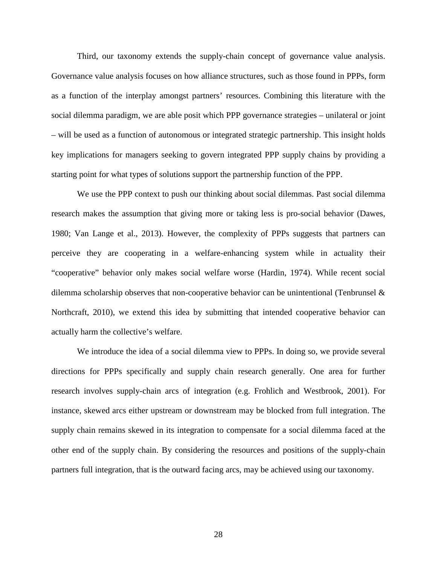Third, our taxonomy extends the supply-chain concept of governance value analysis. Governance value analysis focuses on how alliance structures, such as those found in PPPs, form as a function of the interplay amongst partners' resources. Combining this literature with the social dilemma paradigm, we are able posit which PPP governance strategies – unilateral or joint – will be used as a function of autonomous or integrated strategic partnership. This insight holds key implications for managers seeking to govern integrated PPP supply chains by providing a starting point for what types of solutions support the partnership function of the PPP.

We use the PPP context to push our thinking about social dilemmas. Past social dilemma research makes the assumption that giving more or taking less is pro-social behavior (Dawes, 1980; Van Lange et al., 2013). However, the complexity of PPPs suggests that partners can perceive they are cooperating in a welfare-enhancing system while in actuality their "cooperative" behavior only makes social welfare worse (Hardin, 1974). While recent social dilemma scholarship observes that non-cooperative behavior can be unintentional (Tenbrunsel & Northcraft, 2010), we extend this idea by submitting that intended cooperative behavior can actually harm the collective's welfare.

We introduce the idea of a social dilemma view to PPPs. In doing so, we provide several directions for PPPs specifically and supply chain research generally. One area for further research involves supply-chain arcs of integration (e.g. Frohlich and Westbrook, 2001). For instance, skewed arcs either upstream or downstream may be blocked from full integration. The supply chain remains skewed in its integration to compensate for a social dilemma faced at the other end of the supply chain. By considering the resources and positions of the supply-chain partners full integration, that is the outward facing arcs, may be achieved using our taxonomy.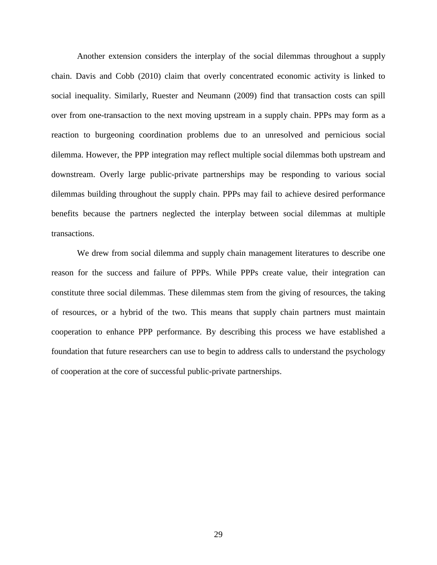Another extension considers the interplay of the social dilemmas throughout a supply chain. Davis and Cobb (2010) claim that overly concentrated economic activity is linked to social inequality. Similarly, Ruester and Neumann (2009) find that transaction costs can spill over from one-transaction to the next moving upstream in a supply chain. PPPs may form as a reaction to burgeoning coordination problems due to an unresolved and pernicious social dilemma. However, the PPP integration may reflect multiple social dilemmas both upstream and downstream. Overly large public-private partnerships may be responding to various social dilemmas building throughout the supply chain. PPPs may fail to achieve desired performance benefits because the partners neglected the interplay between social dilemmas at multiple transactions.

We drew from social dilemma and supply chain management literatures to describe one reason for the success and failure of PPPs. While PPPs create value, their integration can constitute three social dilemmas. These dilemmas stem from the giving of resources, the taking of resources, or a hybrid of the two. This means that supply chain partners must maintain cooperation to enhance PPP performance. By describing this process we have established a foundation that future researchers can use to begin to address calls to understand the psychology of cooperation at the core of successful public-private partnerships.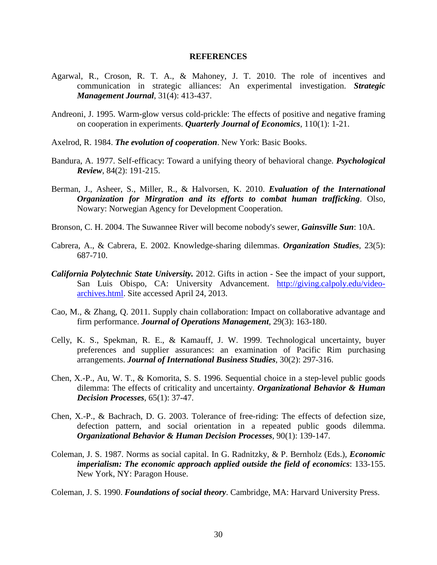#### **REFERENCES**

- Agarwal, R., Croson, R. T. A., & Mahoney, J. T. 2010. The role of incentives and communication in strategic alliances: An experimental investigation. *Strategic Management Journal*, 31(4): 413-437.
- Andreoni, J. 1995. Warm-glow versus cold-prickle: The effects of positive and negative framing on cooperation in experiments. *Quarterly Journal of Economics*, 110(1): 1-21.
- Axelrod, R. 1984. *The evolution of cooperation*. New York: Basic Books.
- Bandura, A. 1977. Self-efficacy: Toward a unifying theory of behavioral change. *Psychological Review*, 84(2): 191-215.
- Berman, J., Asheer, S., Miller, R., & Halvorsen, K. 2010. *Evaluation of the International Organization for Mirgration and its efforts to combat human trafficking*. Olso, Nowary: Norwegian Agency for Development Cooperation.
- Bronson, C. H. 2004. The Suwannee River will become nobody's sewer, *Gainsville Sun*: 10A.
- Cabrera, A., & Cabrera, E. 2002. Knowledge-sharing dilemmas. *Organization Studies*, 23(5): 687-710.
- *California Polytechnic State University.* 2012. Gifts in action See the impact of your support, San Luis Obispo, CA: University Advancement. [http://giving.calpoly.edu/video](http://giving.calpoly.edu/video-archives.html)[archives.html.](http://giving.calpoly.edu/video-archives.html) Site accessed April 24, 2013.
- Cao, M., & Zhang, Q. 2011. Supply chain collaboration: Impact on collaborative advantage and firm performance. *Journal of Operations Management*, 29(3): 163-180.
- Celly, K. S., Spekman, R. E., & Kamauff, J. W. 1999. Technological uncertainty, buyer preferences and supplier assurances: an examination of Pacific Rim purchasing arrangements. *Journal of International Business Studies*, 30(2): 297-316.
- Chen, X.-P., Au, W. T., & Komorita, S. S. 1996. Sequential choice in a step-level public goods dilemma: The effects of criticality and uncertainty. *Organizational Behavior & Human Decision Processes*, 65(1): 37-47.
- Chen, X.-P., & Bachrach, D. G. 2003. Tolerance of free-riding: The effects of defection size, defection pattern, and social orientation in a repeated public goods dilemma. *Organizational Behavior & Human Decision Processes*, 90(1): 139-147.
- Coleman, J. S. 1987. Norms as social capital. In G. Radnitzky, & P. Bernholz (Eds.), *Economic imperialism: The economic approach applied outside the field of economics*: 133-155. New York, NY: Paragon House.

Coleman, J. S. 1990. *Foundations of social theory*. Cambridge, MA: Harvard University Press.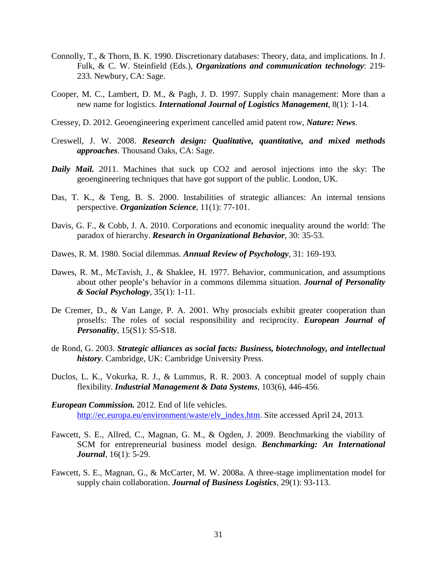- Connolly, T., & Thorn, B. K. 1990. Discretionary databases: Theory, data, and implications. In J. Fulk, & C. W. Steinfield (Eds.), *Organizations and communication technology*: 219- 233. Newbury, CA: Sage.
- Cooper, M. C., Lambert, D. M., & Pagh, J. D. 1997. Supply chain management: More than a new name for logistics. *International Journal of Logistics Management*, 8(1): 1-14.
- Cressey, D. 2012. Geoengineering experiment cancelled amid patent row, *Nature: News*.
- Creswell, J. W. 2008. *Research design: Qualitative, quantitative, and mixed methods approaches*. Thousand Oaks, CA: Sage.
- *Daily Mail.* 2011. Machines that suck up CO2 and aerosol injections into the sky: The geoengineering techniques that have got support of the public. London, UK.
- Das, T. K., & Teng, B. S. 2000. Instabilities of strategic alliances: An internal tensions perspective. *Organization Science*, 11(1): 77-101.
- Davis, G. F., & Cobb, J. A. 2010. Corporations and economic inequality around the world: The paradox of hierarchy. *Research in Organizational Behavior*, 30: 35-53.
- Dawes, R. M. 1980. Social dilemmas. *Annual Review of Psychology*, 31: 169-193.
- Dawes, R. M., McTavish, J., & Shaklee, H. 1977. Behavior, communication, and assumptions about other people's behavior in a commons dilemma situation. *Journal of Personality & Social Psychology*, 35(1): 1-11.
- De Cremer, D., & Van Lange, P. A. 2001. Why prosocials exhibit greater cooperation than proselfs: The roles of social responsibility and reciprocity. *European Journal of Personality*, 15(S1): S5-S18.
- de Rond, G. 2003. *Strategic alliances as social facts: Business, biotechnology, and intellectual history*. Cambridge, UK: Cambridge University Press.
- Duclos, L. K., Vokurka, R. J., & Lummus, R. R. 2003. A conceptual model of supply chain flexibility. *Industrial Management & Data Systems*, 103(6), 446-456.
- *European Commission.* 2012. End of life vehicles. [http://ec.europa.eu/environment/waste/elv\\_index.htm.](http://ec.europa.eu/environment/waste/elv_index.htm) Site accessed April 24, 2013.
- Fawcett, S. E., Allred, C., Magnan, G. M., & Ogden, J. 2009. Benchmarking the viability of SCM for entrepreneurial business model design. *Benchmarking: An International Journal*, 16(1): 5-29.
- Fawcett, S. E., Magnan, G., & McCarter, M. W. 2008a. A three-stage implimentation model for supply chain collaboration. *Journal of Business Logistics*, 29(1): 93-113.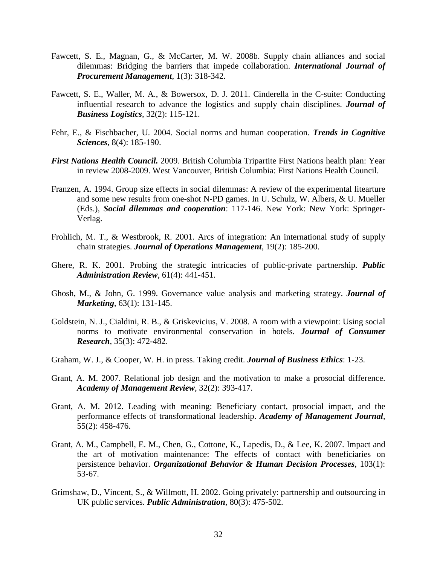- Fawcett, S. E., Magnan, G., & McCarter, M. W. 2008b. Supply chain alliances and social dilemmas: Bridging the barriers that impede collaboration. *International Journal of Procurement Management*, 1(3): 318-342.
- Fawcett, S. E., Waller, M. A., & Bowersox, D. J. 2011. Cinderella in the C-suite: Conducting influential research to advance the logistics and supply chain disciplines. *Journal of Business Logistics*, 32(2): 115-121.
- Fehr, E., & Fischbacher, U. 2004. Social norms and human cooperation. *Trends in Cognitive Sciences*, 8(4): 185-190.
- *First Nations Health Council.* 2009. British Columbia Tripartite First Nations health plan: Year in review 2008-2009. West Vancouver, British Columbia: First Nations Health Council.
- Franzen, A. 1994. Group size effects in social dilemmas: A review of the experimental litearture and some new results from one-shot N-PD games. In U. Schulz, W. Albers, & U. Mueller (Eds.), *Social dilemmas and cooperation*: 117-146. New York: New York: Springer-Verlag.
- Frohlich, M. T., & Westbrook, R. 2001. Arcs of integration: An international study of supply chain strategies. *Journal of Operations Management*, 19(2): 185-200.
- Ghere, R. K. 2001. Probing the strategic intricacies of public-private partnership. *Public Administration Review*, 61(4): 441-451.
- Ghosh, M., & John, G. 1999. Governance value analysis and marketing strategy. *Journal of Marketing*, 63(1): 131-145.
- Goldstein, N. J., Cialdini, R. B., & Griskevicius, V. 2008. A room with a viewpoint: Using social norms to motivate environmental conservation in hotels. *Journal of Consumer Research*, 35(3): 472-482.
- Graham, W. J., & Cooper, W. H. in press. Taking credit. *Journal of Business Ethics*: 1-23.
- Grant, A. M. 2007. Relational job design and the motivation to make a prosocial difference. *Academy of Management Review*, 32(2): 393-417.
- Grant, A. M. 2012. Leading with meaning: Beneficiary contact, prosocial impact, and the performance effects of transformational leadership. *Academy of Management Journal*, 55(2): 458-476.
- Grant, A. M., Campbell, E. M., Chen, G., Cottone, K., Lapedis, D., & Lee, K. 2007. Impact and the art of motivation maintenance: The effects of contact with beneficiaries on persistence behavior. *Organizational Behavior & Human Decision Processes*, 103(1): 53-67.
- Grimshaw, D., Vincent, S., & Willmott, H. 2002. Going privately: partnership and outsourcing in UK public services. *Public Administration*, 80(3): 475-502.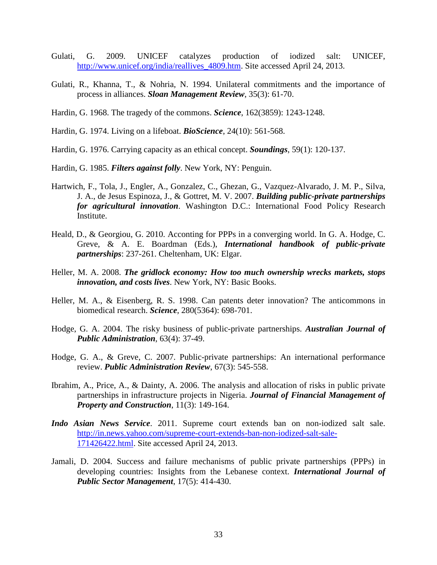- Gulati, G. 2009. UNICEF catalyzes production of iodized salt: UNICEF, http://www.unicef.org/india/reallives 4809.htm. Site accessed April 24, 2013.
- Gulati, R., Khanna, T., & Nohria, N. 1994. Unilateral commitments and the importance of process in alliances. *Sloan Management Review*, 35(3): 61-70.
- Hardin, G. 1968. The tragedy of the commons. *Science*, 162(3859): 1243-1248.
- Hardin, G. 1974. Living on a lifeboat. *BioScience*, 24(10): 561-568.
- Hardin, G. 1976. Carrying capacity as an ethical concept. *Soundings*, 59(1): 120-137.
- Hardin, G. 1985. *Filters against folly*. New York, NY: Penguin.
- Hartwich, F., Tola, J., Engler, A., Gonzalez, C., Ghezan, G., Vazquez-Alvarado, J. M. P., Silva, J. A., de Jesus Espinoza, J., & Gottret, M. V. 2007. *Building public-private partnerships for agricultural innovation*. Washington D.C.: International Food Policy Research Institute.
- Heald, D., & Georgiou, G. 2010. Acconting for PPPs in a converging world. In G. A. Hodge, C. Greve, & A. E. Boardman (Eds.), *International handbook of public-private partnerships*: 237-261. Cheltenham, UK: Elgar.
- Heller, M. A. 2008. *The gridlock economy: How too much ownership wrecks markets, stops innovation, and costs lives*. New York, NY: Basic Books.
- Heller, M. A., & Eisenberg, R. S. 1998. Can patents deter innovation? The anticommons in biomedical research. *Science*, 280(5364): 698-701.
- Hodge, G. A. 2004. The risky business of public-private partnerships. *Australian Journal of Public Administration*, 63(4): 37-49.
- Hodge, G. A., & Greve, C. 2007. Public-private partnerships: An international performance review. *Public Administration Review*, 67(3): 545-558.
- Ibrahim, A., Price, A., & Dainty, A. 2006. The analysis and allocation of risks in public private partnerships in infrastructure projects in Nigeria. *Journal of Financial Management of Property and Construction*, 11(3): 149-164.
- *Indo Asian News Service*. 2011. Supreme court extends ban on non-iodized salt sale. [http://in.news.yahoo.com/supreme-court-extends-ban-non-iodized-salt-sale-](http://in.news.yahoo.com/supreme-court-extends-ban-non-iodized-salt-sale-171426422.html)[171426422.html.](http://in.news.yahoo.com/supreme-court-extends-ban-non-iodized-salt-sale-171426422.html) Site accessed April 24, 2013.
- Jamali, D. 2004. Success and failure mechanisms of public private partnerships (PPPs) in developing countries: Insights from the Lebanese context. *International Journal of Public Sector Management*, 17(5): 414-430.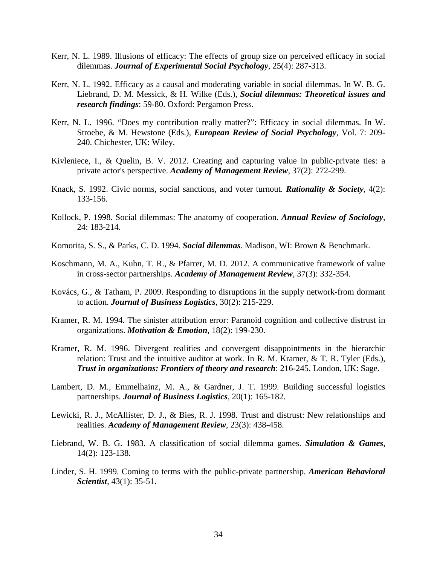- Kerr, N. L. 1989. Illusions of efficacy: The effects of group size on perceived efficacy in social dilemmas. *Journal of Experimental Social Psychology*, 25(4): 287-313.
- Kerr, N. L. 1992. Efficacy as a causal and moderating variable in social dilemmas. In W. B. G. Liebrand, D. M. Messick, & H. Wilke (Eds.), *Social dilemmas: Theoretical issues and research findings*: 59-80. Oxford: Pergamon Press.
- Kerr, N. L. 1996. "Does my contribution really matter?": Efficacy in social dilemmas. In W. Stroebe, & M. Hewstone (Eds.), *European Review of Social Psychology*, Vol. 7: 209- 240. Chichester, UK: Wiley.
- Kivleniece, I., & Quelin, B. V. 2012. Creating and capturing value in public-private ties: a private actor's perspective. *Academy of Management Review*, 37(2): 272-299.
- Knack, S. 1992. Civic norms, social sanctions, and voter turnout. *Rationality & Society*, 4(2): 133-156.
- Kollock, P. 1998. Social dilemmas: The anatomy of cooperation. *Annual Review of Sociology*, 24: 183-214.
- Komorita, S. S., & Parks, C. D. 1994. *Social dilemmas*. Madison, WI: Brown & Benchmark.
- Koschmann, M. A., Kuhn, T. R., & Pfarrer, M. D. 2012. A communicative framework of value in cross-sector partnerships. *Academy of Management Review*, 37(3): 332-354.
- Kovács, G., & Tatham, P. 2009. Responding to disruptions in the supply network-from dormant to action. *Journal of Business Logistics*, 30(2): 215-229.
- Kramer, R. M. 1994. The sinister attribution error: Paranoid cognition and collective distrust in organizations. *Motivation & Emotion*, 18(2): 199-230.
- Kramer, R. M. 1996. Divergent realities and convergent disappointments in the hierarchic relation: Trust and the intuitive auditor at work. In R. M. Kramer, & T. R. Tyler (Eds.), *Trust in organizations: Frontiers of theory and research*: 216-245. London, UK: Sage.
- Lambert, D. M., Emmelhainz, M. A., & Gardner, J. T. 1999. Building successful logistics partnerships. *Journal of Business Logistics*, 20(1): 165-182.
- Lewicki, R. J., McAllister, D. J., & Bies, R. J. 1998. Trust and distrust: New relationships and realities. *Academy of Management Review*, 23(3): 438-458.
- Liebrand, W. B. G. 1983. A classification of social dilemma games. *Simulation & Games*, 14(2): 123-138.
- Linder, S. H. 1999. Coming to terms with the public-private partnership. *American Behavioral Scientist*, 43(1): 35-51.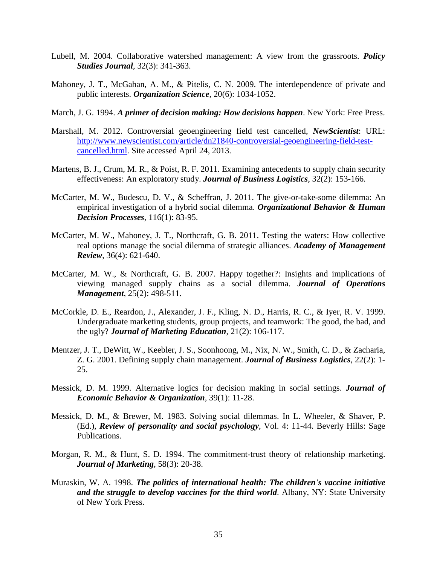- Lubell, M. 2004. Collaborative watershed management: A view from the grassroots. *Policy Studies Journal*, 32(3): 341-363.
- Mahoney, J. T., McGahan, A. M., & Pitelis, C. N. 2009. The interdependence of private and public interests. *Organization Science*, 20(6): 1034-1052.
- March, J. G. 1994. *A primer of decision making: How decisions happen*. New York: Free Press.
- Marshall, M. 2012. Controversial geoengineering field test cancelled, *NewScientist*: URL: [http://www.newscientist.com/article/dn21840-controversial-geoengineering-field-test](http://www.newscientist.com/article/dn21840-controversial-geoengineering-field-test-cancelled.html)[cancelled.html.](http://www.newscientist.com/article/dn21840-controversial-geoengineering-field-test-cancelled.html) Site accessed April 24, 2013.
- Martens, B. J., Crum, M. R., & Poist, R. F. 2011. Examining antecedents to supply chain security effectiveness: An exploratory study. *Journal of Business Logistics*, 32(2): 153-166.
- McCarter, M. W., Budescu, D. V., & Scheffran, J. 2011. The give-or-take-some dilemma: An empirical investigation of a hybrid social dilemma. *Organizational Behavior & Human Decision Processes*, 116(1): 83-95.
- McCarter, M. W., Mahoney, J. T., Northcraft, G. B. 2011. Testing the waters: How collective real options manage the social dilemma of strategic alliances. *Academy of Management Review*, 36(4): 621-640.
- McCarter, M. W., & Northcraft, G. B. 2007. Happy together?: Insights and implications of viewing managed supply chains as a social dilemma. *Journal of Operations Management*, 25(2): 498-511.
- McCorkle, D. E., Reardon, J., Alexander, J. F., Kling, N. D., Harris, R. C., & Iyer, R. V. 1999. Undergraduate marketing students, group projects, and teamwork: The good, the bad, and the ugly? *Journal of Marketing Education*, 21(2): 106-117.
- Mentzer, J. T., DeWitt, W., Keebler, J. S., Soonhoong, M., Nix, N. W., Smith, C. D., & Zacharia, Z. G. 2001. Defining supply chain management. *Journal of Business Logistics*, 22(2): 1- 25.
- Messick, D. M. 1999. Alternative logics for decision making in social settings. *Journal of Economic Behavior & Organization*, 39(1): 11-28.
- Messick, D. M., & Brewer, M. 1983. Solving social dilemmas. In L. Wheeler, & Shaver, P. (Ed.), *Review of personality and social psychology*, Vol. 4: 11-44. Beverly Hills: Sage Publications.
- Morgan, R. M., & Hunt, S. D. 1994. The commitment-trust theory of relationship marketing. *Journal of Marketing*, 58(3): 20-38.
- Muraskin, W. A. 1998. *The politics of international health: The children's vaccine initiative and the struggle to develop vaccines for the third world. Albany, NY: State University* of New York Press.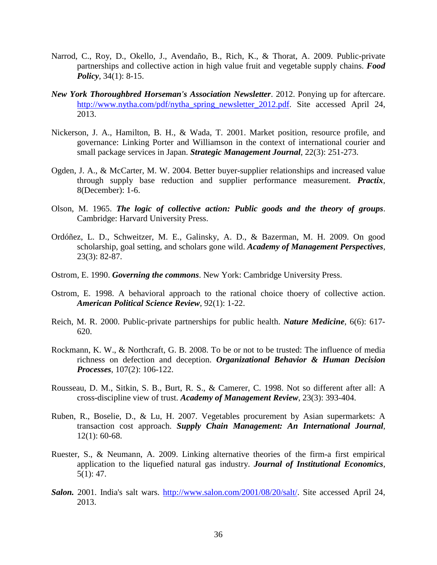- Narrod, C., Roy, D., Okello, J., Avendaño, B., Rich, K., & Thorat, A. 2009. Public-private partnerships and collective action in high value fruit and vegetable supply chains. *Food Policy*, 34(1): 8-15.
- *New York Thoroughbred Horseman's Association Newsletter*. 2012. Ponying up for aftercare. [http://www.nytha.com/pdf/nytha\\_spring\\_newsletter\\_2012.pdf.](http://www.nytha.com/pdf/nytha_spring_newsletter_2012.pdf) Site accessed April 24, 2013.
- Nickerson, J. A., Hamilton, B. H., & Wada, T. 2001. Market position, resource profile, and governance: Linking Porter and Williamson in the context of international courier and small package services in Japan. *Strategic Management Journal*, 22(3): 251-273.
- Ogden, J. A., & McCarter, M. W. 2004. Better buyer-supplier relationships and increased value through supply base reduction and supplier performance measurement. *Practix*, 8(December): 1-6.
- Olson, M. 1965. *The logic of collective action: Public goods and the theory of groups*. Cambridge: Harvard University Press.
- Ordóñez, L. D., Schweitzer, M. E., Galinsky, A. D., & Bazerman, M. H. 2009. On good scholarship, goal setting, and scholars gone wild. *Academy of Management Perspectives*, 23(3): 82-87.
- Ostrom, E. 1990. *Governing the commons*. New York: Cambridge University Press.
- Ostrom, E. 1998. A behavioral approach to the rational choice thoery of collective action. *American Political Science Review*, 92(1): 1-22.
- Reich, M. R. 2000. Public-private partnerships for public health. *Nature Medicine*, 6(6): 617- 620.
- Rockmann, K. W., & Northcraft, G. B. 2008. To be or not to be trusted: The influence of media richness on defection and deception. *Organizational Behavior & Human Decision Processes*, 107(2): 106-122.
- Rousseau, D. M., Sitkin, S. B., Burt, R. S., & Camerer, C. 1998. Not so different after all: A cross-discipline view of trust. *Academy of Management Review*, 23(3): 393-404.
- Ruben, R., Boselie, D., & Lu, H. 2007. Vegetables procurement by Asian supermarkets: A transaction cost approach. *Supply Chain Management: An International Journal*, 12(1): 60-68.
- Ruester, S., & Neumann, A. 2009. Linking alternative theories of the firm-a first empirical application to the liquefied natural gas industry. *Journal of Institutional Economics*, 5(1): 47.
- *Salon.* 2001. India's salt wars. [http://www.salon.com/2001/08/20/salt/.](http://www.salon.com/2001/08/20/salt/) Site accessed April 24, 2013.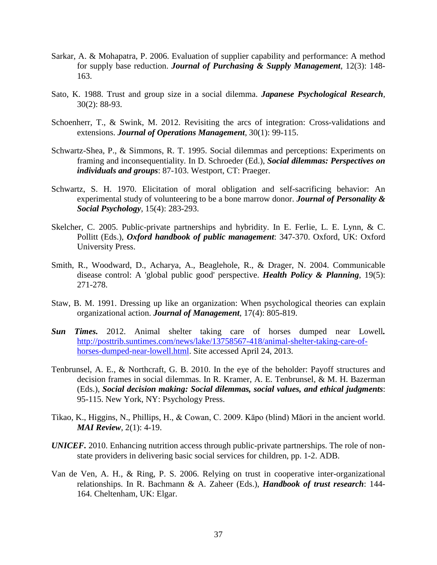- Sarkar, A. & Mohapatra, P. 2006. Evaluation of supplier capability and performance: A method for supply base reduction. *Journal of Purchasing & Supply Management*, 12(3): 148- 163.
- Sato, K. 1988. Trust and group size in a social dilemma. *Japanese Psychological Research*, 30(2): 88-93.
- Schoenherr, T., & Swink, M. 2012. Revisiting the arcs of integration: Cross-validations and extensions. *Journal of Operations Management*, 30(1): 99-115.
- Schwartz-Shea, P., & Simmons, R. T. 1995. Social dilemmas and perceptions: Experiments on framing and inconsequentiality. In D. Schroeder (Ed.), *Social dilemmas: Perspectives on individuals and groups*: 87-103. Westport, CT: Praeger.
- Schwartz, S. H. 1970. Elicitation of moral obligation and self-sacrificing behavior: An experimental study of volunteering to be a bone marrow donor. *Journal of Personality & Social Psychology*, 15(4): 283-293.
- Skelcher, C. 2005. Public-private partnerships and hybridity. In E. Ferlie, L. E. Lynn, & C. Pollitt (Eds.), *Oxford handbook of public management*: 347-370. Oxford, UK: Oxford University Press.
- Smith, R., Woodward, D., Acharya, A., Beaglehole, R., & Drager, N. 2004. Communicable disease control: A 'global public good' perspective. *Health Policy & Planning*, 19(5): 271-278.
- Staw, B. M. 1991. Dressing up like an organization: When psychological theories can explain organizational action. *Journal of Management*, 17(4): 805-819.
- *Sun Times.* 2012. Animal shelter taking care of horses dumped near Lowell*.*  [http://posttrib.suntimes.com/news/lake/13758567-418/animal-shelter-taking-care-of](https://exchange.chapman.edu/owa/redir.aspx?C=BlOOuiiwckm8PwlNWeljWIzGSKCoFNAIwCRY7tx1KMBcqXcVNiV55Bzs5wENSeT04VtUVpCsPdc.&URL=http%3a%2f%2fposttrib.suntimes.com%2fnews%2flake%2f13758567-418%2fanimal-shelter-taking-care-of-horses-dumped-near-lowell.html)[horses-dumped-near-lowell.html.](https://exchange.chapman.edu/owa/redir.aspx?C=BlOOuiiwckm8PwlNWeljWIzGSKCoFNAIwCRY7tx1KMBcqXcVNiV55Bzs5wENSeT04VtUVpCsPdc.&URL=http%3a%2f%2fposttrib.suntimes.com%2fnews%2flake%2f13758567-418%2fanimal-shelter-taking-care-of-horses-dumped-near-lowell.html) Site accessed April 24, 2013.
- Tenbrunsel, A. E., & Northcraft, G. B. 2010. In the eye of the beholder: Payoff structures and decision frames in social dilemmas. In R. Kramer, A. E. Tenbrunsel, & M. H. Bazerman (Eds.), *Social decision making: Social dilemmas, social values, and ethical judgments*: 95-115. New York, NY: Psychology Press.
- Tikao, K., Higgins, N., Phillips, H., & Cowan, C. 2009. Kāpo (blind) Māori in the ancient world. *MAI Review*, 2(1): 4-19.
- *UNICEF.* 2010. Enhancing nutrition access through public-private partnerships. The role of nonstate providers in delivering basic social services for children, pp. 1-2. ADB.
- Van de Ven, A. H., & Ring, P. S. 2006. Relying on trust in cooperative inter-organizational relationships. In R. Bachmann & A. Zaheer (Eds.), *Handbook of trust research*: 144- 164. Cheltenham, UK: Elgar.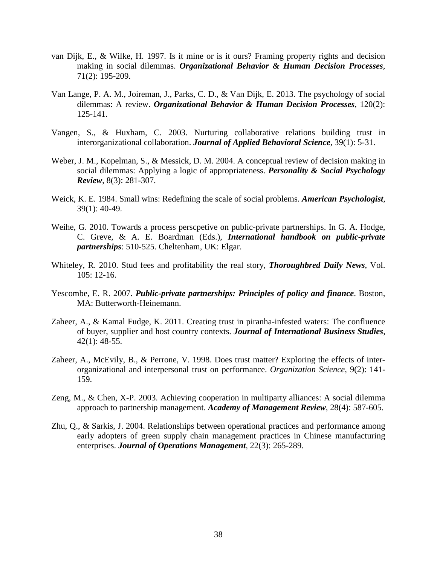- van Dijk, E., & Wilke, H. 1997. Is it mine or is it ours? Framing property rights and decision making in social dilemmas. *Organizational Behavior & Human Decision Processes*, 71(2): 195-209.
- Van Lange, P. A. M., Joireman, J., Parks, C. D., & Van Dijk, E. 2013. The psychology of social dilemmas: A review. *Organizational Behavior & Human Decision Processes*, 120(2): 125-141.
- Vangen, S., & Huxham, C. 2003. Nurturing collaborative relations building trust in interorganizational collaboration. *Journal of Applied Behavioral Science*, 39(1): 5-31.
- Weber, J. M., Kopelman, S., & Messick, D. M. 2004. A conceptual review of decision making in social dilemmas: Applying a logic of appropriateness. *Personality & Social Psychology Review*, 8(3): 281-307.
- Weick, K. E. 1984. Small wins: Redefining the scale of social problems. *American Psychologist*, 39(1): 40-49.
- Weihe, G. 2010. Towards a process perscpetive on public-private partnerships. In G. A. Hodge, C. Greve, & A. E. Boardman (Eds.), *International handbook on public-private partnerships*: 510-525. Cheltenham, UK: Elgar.
- Whiteley, R. 2010. Stud fees and profitability the real story, *Thoroughbred Daily News*, Vol. 105: 12-16.
- Yescombe, E. R. 2007. *Public-private partnerships: Principles of policy and finance*. Boston, MA: Butterworth-Heinemann.
- Zaheer, A., & Kamal Fudge, K. 2011. Creating trust in piranha-infested waters: The confluence of buyer, supplier and host country contexts. *Journal of International Business Studies*, 42(1): 48-55.
- Zaheer, A., McEvily, B., & Perrone, V. 1998. Does trust matter? Exploring the effects of interorganizational and interpersonal trust on performance. *Organization Science*, 9(2): 141- 159.
- Zeng, M., & Chen, X-P. 2003. Achieving cooperation in multiparty alliances: A social dilemma approach to partnership management. *Academy of Management Review*, 28(4): 587-605.
- Zhu, Q., & Sarkis, J. 2004. Relationships between operational practices and performance among early adopters of green supply chain management practices in Chinese manufacturing enterprises. *Journal of Operations Management*, 22(3): 265-289.